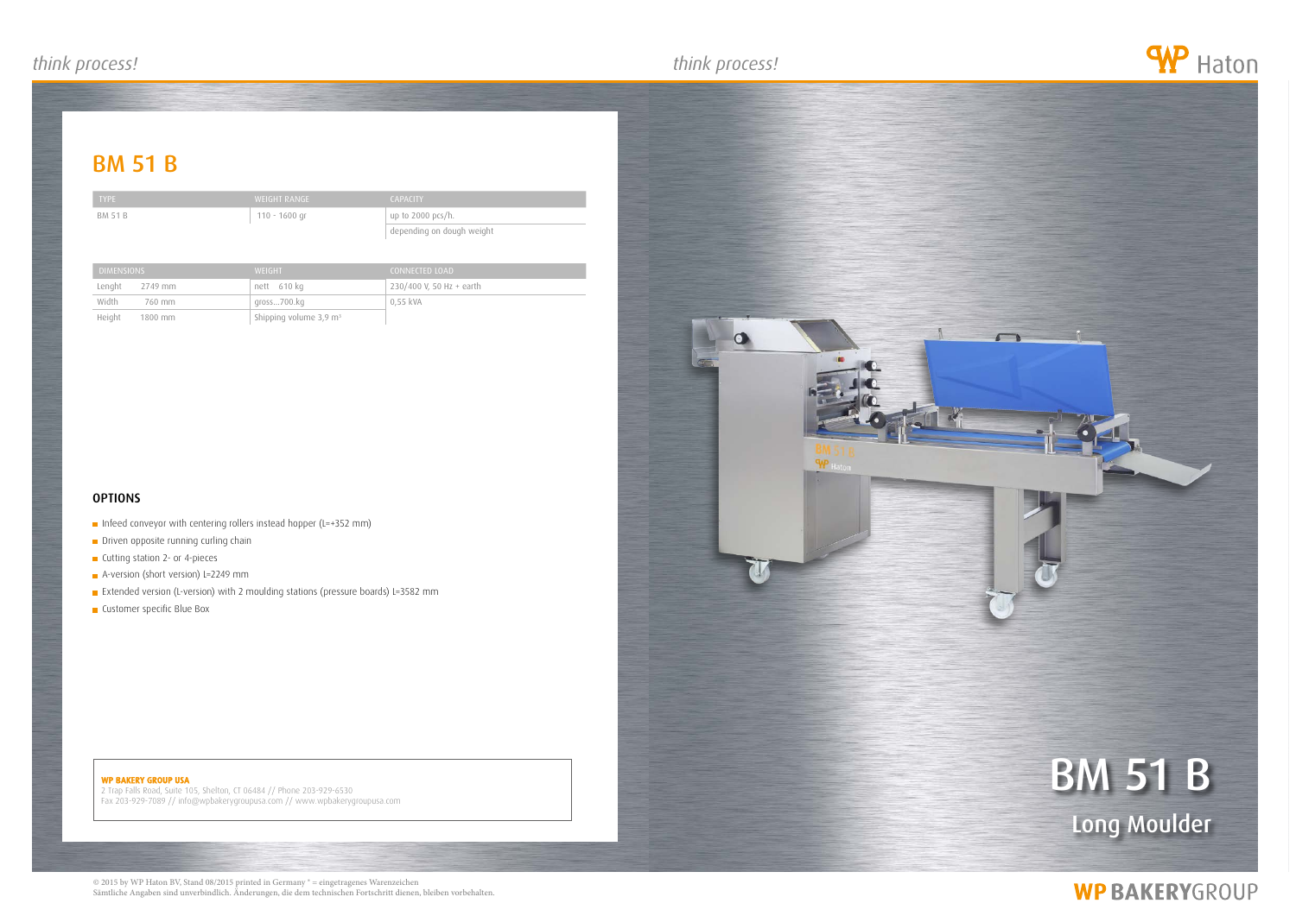### *think process! think process! think process!*

## **BM 51 B**

BM 51 B 110 - 1600 gr

#### WP BAKERY GROUP USA

# **BM 51 B** Long Moulder

## **WP BAKERYGROUP**

2 Trap Falls Road, Suite 105, Shelton, CT 06484 // Phone 203-929-6530 Fax 203-929-7089 // info@wpbakerygroupusa.com // www.wpbakerygroupusa.com





| <b>CAPACITY</b>           |
|---------------------------|
| up to 2000 pcs/h.         |
| depending on dough weight |

| <b>DIMENSIONS</b>   | <b>WEIGHT</b>                        | CONNECTED LOAD           |
|---------------------|--------------------------------------|--------------------------|
| Lenght<br>2749 mm   | nett 610 kg                          | 230/400 V, 50 Hz + earth |
| Width<br>760 mm     | gross700.kg                          | $0.55$ kVA               |
| Height<br>$1800$ mm | Shipping volume $3,9$ m <sup>3</sup> |                          |

### **OPTIONS**

- Infeed conveyor with centering rollers instead hopper (L=+352 mm)
- Driven opposite running curling chain
- **Cutting station 2- or 4-pieces**
- A-version (short version) L=2249 mm
- Extended version (L-version) with 2 moulding stations (pressure boards) L=3582 mm
- **Customer specific Blue Box**